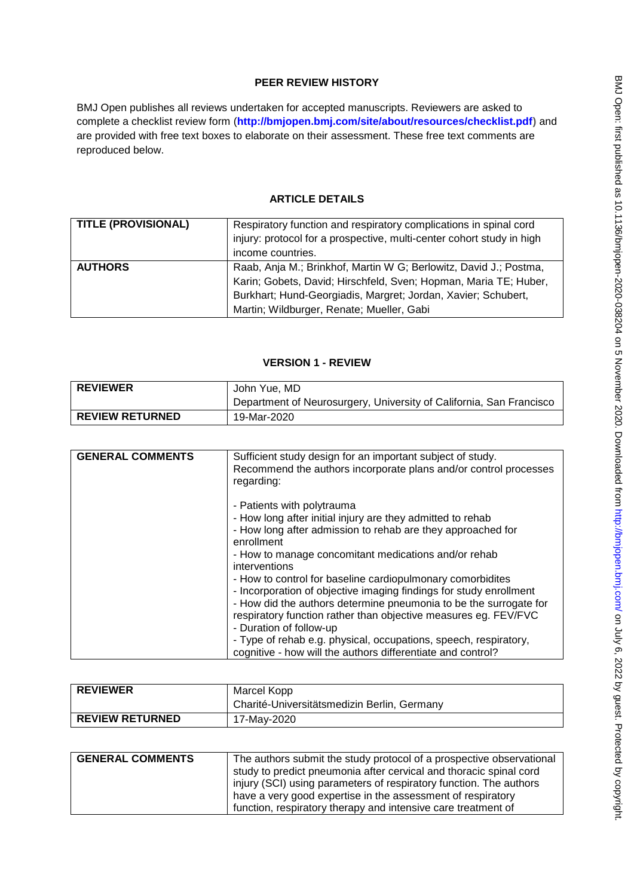# **PEER REVIEW HISTORY**

BMJ Open publishes all reviews undertaken for accepted manuscripts. Reviewers are asked to complete a checklist review form (**[http://bmjopen.bmj.com/site/about/resources/checklist.pdf\)](http://bmjopen.bmj.com/site/about/resources/checklist.pdf)** and are provided with free text boxes to elaborate on their assessment. These free text comments are reproduced below.

# **ARTICLE DETAILS**

| <b>TITLE (PROVISIONAL)</b> | Respiratory function and respiratory complications in spinal cord<br>injury: protocol for a prospective, multi-center cohort study in high<br>income countries.                                                                                     |
|----------------------------|-----------------------------------------------------------------------------------------------------------------------------------------------------------------------------------------------------------------------------------------------------|
| <b>AUTHORS</b>             | Raab, Anja M.; Brinkhof, Martin W G; Berlowitz, David J.; Postma,<br>Karin; Gobets, David; Hirschfeld, Sven; Hopman, Maria TE; Huber,<br>Burkhart; Hund-Georgiadis, Margret; Jordan, Xavier; Schubert,<br>Martin; Wildburger, Renate; Mueller, Gabi |

# **VERSION 1 - REVIEW**

| <b>REVIEWER</b>        | John Yue. MD                                                        |
|------------------------|---------------------------------------------------------------------|
|                        | Department of Neurosurgery, University of California, San Francisco |
| <b>REVIEW RETURNED</b> | 19-Mar-2020                                                         |

| <b>GENERAL COMMENTS</b> | Sufficient study design for an important subject of study.<br>Recommend the authors incorporate plans and/or control processes<br>regarding:                                                                                                                                                        |
|-------------------------|-----------------------------------------------------------------------------------------------------------------------------------------------------------------------------------------------------------------------------------------------------------------------------------------------------|
|                         | - Patients with polytrauma<br>- How long after initial injury are they admitted to rehab<br>- How long after admission to rehab are they approached for                                                                                                                                             |
|                         | enrollment<br>- How to manage concomitant medications and/or rehab<br>interventions                                                                                                                                                                                                                 |
|                         | - How to control for baseline cardiopulmonary comorbidites<br>- Incorporation of objective imaging findings for study enrollment<br>- How did the authors determine pneumonia to be the surrogate for<br>respiratory function rather than objective measures eg. FEV/FVC<br>- Duration of follow-up |
|                         | - Type of rehab e.g. physical, occupations, speech, respiratory,<br>cognitive - how will the authors differentiate and control?                                                                                                                                                                     |

| <b>REVIEWER</b>        | Marcel Kopp<br>Charité-Universitätsmedizin Berlin, Germany |
|------------------------|------------------------------------------------------------|
| <b>REVIEW RETURNED</b> | 17-May-2020                                                |

| <b>GENERAL COMMENTS</b> | The authors submit the study protocol of a prospective observational<br>study to predict pneumonia after cervical and thoracic spinal cord<br>injury (SCI) using parameters of respiratory function. The authors |
|-------------------------|------------------------------------------------------------------------------------------------------------------------------------------------------------------------------------------------------------------|
|                         | have a very good expertise in the assessment of respiratory<br>function, respiratory therapy and intensive care treatment of                                                                                     |
|                         |                                                                                                                                                                                                                  |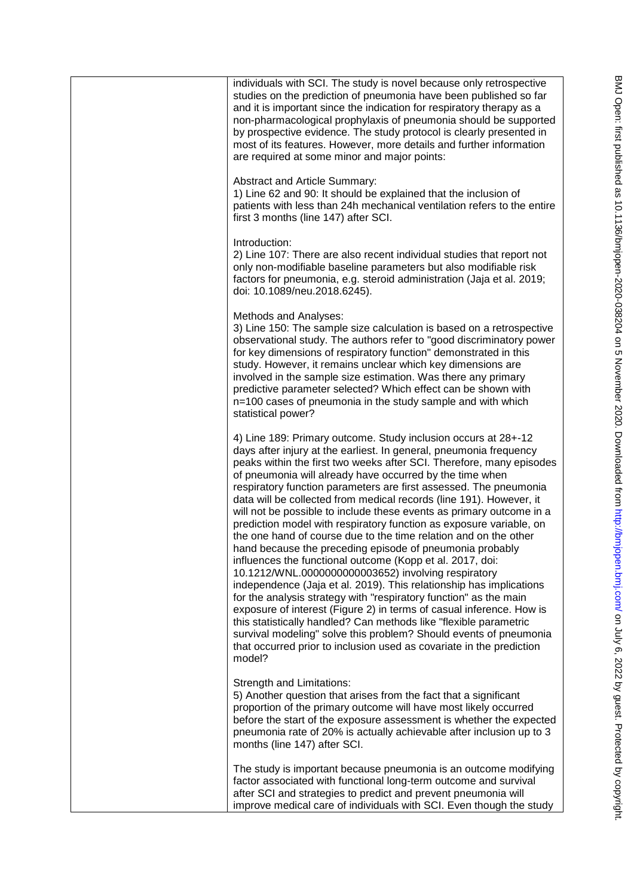| individuals with SCI. The study is novel because only retrospective<br>studies on the prediction of pneumonia have been published so far<br>and it is important since the indication for respiratory therapy as a<br>non-pharmacological prophylaxis of pneumonia should be supported<br>by prospective evidence. The study protocol is clearly presented in<br>most of its features. However, more details and further information<br>are required at some minor and major points:                                                                                                                                                                                                                                                                                                                                                                                                                                                                                                                                                                                                                                                                                                                                                                                     |
|-------------------------------------------------------------------------------------------------------------------------------------------------------------------------------------------------------------------------------------------------------------------------------------------------------------------------------------------------------------------------------------------------------------------------------------------------------------------------------------------------------------------------------------------------------------------------------------------------------------------------------------------------------------------------------------------------------------------------------------------------------------------------------------------------------------------------------------------------------------------------------------------------------------------------------------------------------------------------------------------------------------------------------------------------------------------------------------------------------------------------------------------------------------------------------------------------------------------------------------------------------------------------|
| <b>Abstract and Article Summary:</b><br>1) Line 62 and 90: It should be explained that the inclusion of<br>patients with less than 24h mechanical ventilation refers to the entire<br>first 3 months (line 147) after SCI.                                                                                                                                                                                                                                                                                                                                                                                                                                                                                                                                                                                                                                                                                                                                                                                                                                                                                                                                                                                                                                              |
| Introduction:<br>2) Line 107: There are also recent individual studies that report not<br>only non-modifiable baseline parameters but also modifiable risk<br>factors for pneumonia, e.g. steroid administration (Jaja et al. 2019;<br>doi: 10.1089/neu.2018.6245).                                                                                                                                                                                                                                                                                                                                                                                                                                                                                                                                                                                                                                                                                                                                                                                                                                                                                                                                                                                                     |
| Methods and Analyses:<br>3) Line 150: The sample size calculation is based on a retrospective<br>observational study. The authors refer to "good discriminatory power<br>for key dimensions of respiratory function" demonstrated in this<br>study. However, it remains unclear which key dimensions are<br>involved in the sample size estimation. Was there any primary<br>predictive parameter selected? Which effect can be shown with<br>n=100 cases of pneumonia in the study sample and with which<br>statistical power?                                                                                                                                                                                                                                                                                                                                                                                                                                                                                                                                                                                                                                                                                                                                         |
| 4) Line 189: Primary outcome. Study inclusion occurs at 28+-12<br>days after injury at the earliest. In general, pneumonia frequency<br>peaks within the first two weeks after SCI. Therefore, many episodes<br>of pneumonia will already have occurred by the time when<br>respiratory function parameters are first assessed. The pneumonia<br>data will be collected from medical records (line 191). However, it<br>will not be possible to include these events as primary outcome in a<br>prediction model with respiratory function as exposure variable, on<br>the one hand of course due to the time relation and on the other<br>hand because the preceding episode of pneumonia probably<br>influences the functional outcome (Kopp et al. 2017, doi:<br>10.1212/WNL.0000000000003652) involving respiratory<br>independence (Jaja et al. 2019). This relationship has implications<br>for the analysis strategy with "respiratory function" as the main<br>exposure of interest (Figure 2) in terms of casual inference. How is<br>this statistically handled? Can methods like "flexible parametric<br>survival modeling" solve this problem? Should events of pneumonia<br>that occurred prior to inclusion used as covariate in the prediction<br>model? |
| Strength and Limitations:<br>5) Another question that arises from the fact that a significant<br>proportion of the primary outcome will have most likely occurred<br>before the start of the exposure assessment is whether the expected<br>pneumonia rate of 20% is actually achievable after inclusion up to 3<br>months (line 147) after SCI.                                                                                                                                                                                                                                                                                                                                                                                                                                                                                                                                                                                                                                                                                                                                                                                                                                                                                                                        |
| The study is important because pneumonia is an outcome modifying<br>factor associated with functional long-term outcome and survival<br>after SCI and strategies to predict and prevent pneumonia will<br>improve medical care of individuals with SCI. Even though the study                                                                                                                                                                                                                                                                                                                                                                                                                                                                                                                                                                                                                                                                                                                                                                                                                                                                                                                                                                                           |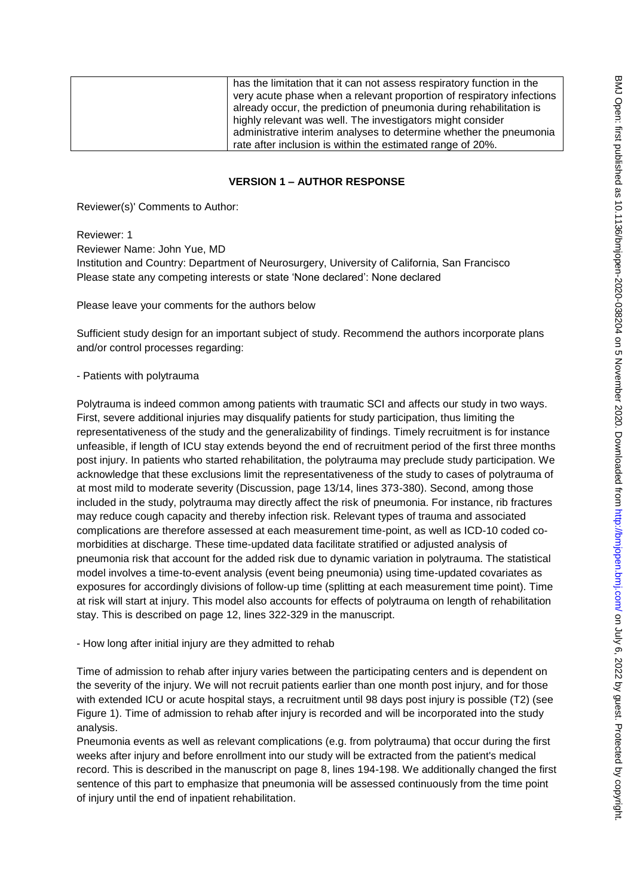| has the limitation that it can not assess respiratory function in the |
|-----------------------------------------------------------------------|
| very acute phase when a relevant proportion of respiratory infections |
| already occur, the prediction of pneumonia during rehabilitation is   |
| highly relevant was well. The investigators might consider            |
| administrative interim analyses to determine whether the pneumonia    |
| rate after inclusion is within the estimated range of 20%.            |

#### **VERSION 1 – AUTHOR RESPONSE**

Reviewer(s)' Comments to Author:

Reviewer: 1

Reviewer Name: John Yue, MD Institution and Country: Department of Neurosurgery, University of California, San Francisco Please state any competing interests or state 'None declared': None declared

Please leave your comments for the authors below

Sufficient study design for an important subject of study. Recommend the authors incorporate plans and/or control processes regarding:

#### - Patients with polytrauma

Polytrauma is indeed common among patients with traumatic SCI and affects our study in two ways. First, severe additional injuries may disqualify patients for study participation, thus limiting the representativeness of the study and the generalizability of findings. Timely recruitment is for instance unfeasible, if length of ICU stay extends beyond the end of recruitment period of the first three months post injury. In patients who started rehabilitation, the polytrauma may preclude study participation. We acknowledge that these exclusions limit the representativeness of the study to cases of polytrauma of at most mild to moderate severity (Discussion, page 13/14, lines 373-380). Second, among those included in the study, polytrauma may directly affect the risk of pneumonia. For instance, rib fractures may reduce cough capacity and thereby infection risk. Relevant types of trauma and associated complications are therefore assessed at each measurement time-point, as well as ICD-10 coded comorbidities at discharge. These time-updated data facilitate stratified or adjusted analysis of pneumonia risk that account for the added risk due to dynamic variation in polytrauma. The statistical model involves a time-to-event analysis (event being pneumonia) using time-updated covariates as exposures for accordingly divisions of follow-up time (splitting at each measurement time point). Time at risk will start at injury. This model also accounts for effects of polytrauma on length of rehabilitation stay. This is described on page 12, lines 322-329 in the manuscript.

- How long after initial injury are they admitted to rehab

Time of admission to rehab after injury varies between the participating centers and is dependent on the severity of the injury. We will not recruit patients earlier than one month post injury, and for those with extended ICU or acute hospital stays, a recruitment until 98 days post injury is possible (T2) (see Figure 1). Time of admission to rehab after injury is recorded and will be incorporated into the study analysis.

Pneumonia events as well as relevant complications (e.g. from polytrauma) that occur during the first weeks after injury and before enrollment into our study will be extracted from the patient's medical record. This is described in the manuscript on page 8, lines 194-198. We additionally changed the first sentence of this part to emphasize that pneumonia will be assessed continuously from the time point of injury until the end of inpatient rehabilitation.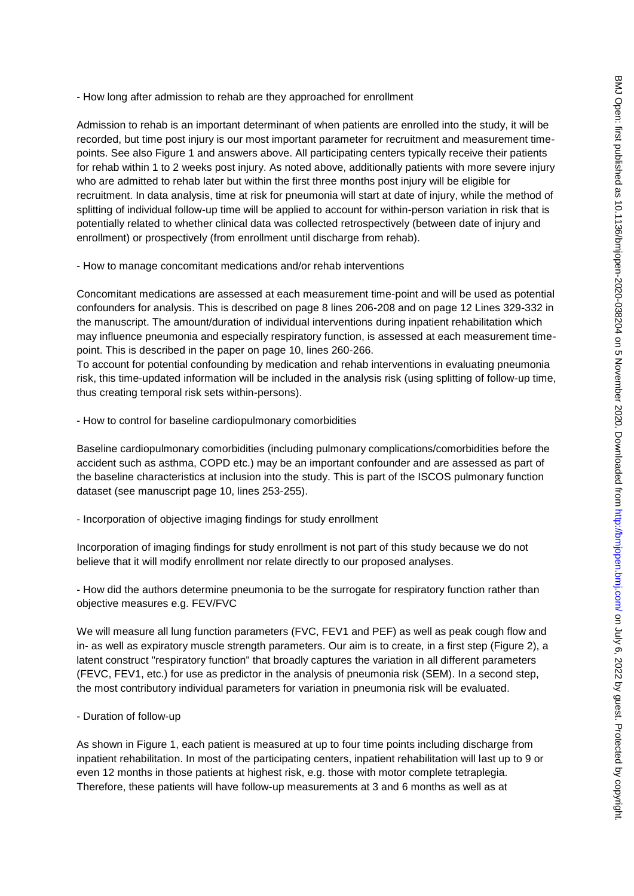- How long after admission to rehab are they approached for enrollment

Admission to rehab is an important determinant of when patients are enrolled into the study, it will be recorded, but time post injury is our most important parameter for recruitment and measurement timepoints. See also Figure 1 and answers above. All participating centers typically receive their patients for rehab within 1 to 2 weeks post injury. As noted above, additionally patients with more severe injury who are admitted to rehab later but within the first three months post injury will be eligible for recruitment. In data analysis, time at risk for pneumonia will start at date of injury, while the method of splitting of individual follow-up time will be applied to account for within-person variation in risk that is potentially related to whether clinical data was collected retrospectively (between date of injury and enrollment) or prospectively (from enrollment until discharge from rehab).

- How to manage concomitant medications and/or rehab interventions

Concomitant medications are assessed at each measurement time-point and will be used as potential confounders for analysis. This is described on page 8 lines 206-208 and on page 12 Lines 329-332 in the manuscript. The amount/duration of individual interventions during inpatient rehabilitation which may influence pneumonia and especially respiratory function, is assessed at each measurement timepoint. This is described in the paper on page 10, lines 260-266.

To account for potential confounding by medication and rehab interventions in evaluating pneumonia risk, this time-updated information will be included in the analysis risk (using splitting of follow-up time, thus creating temporal risk sets within-persons).

- How to control for baseline cardiopulmonary comorbidities

Baseline cardiopulmonary comorbidities (including pulmonary complications/comorbidities before the accident such as asthma, COPD etc.) may be an important confounder and are assessed as part of the baseline characteristics at inclusion into the study. This is part of the ISCOS pulmonary function dataset (see manuscript page 10, lines 253-255).

- Incorporation of objective imaging findings for study enrollment

Incorporation of imaging findings for study enrollment is not part of this study because we do not believe that it will modify enrollment nor relate directly to our proposed analyses.

- How did the authors determine pneumonia to be the surrogate for respiratory function rather than objective measures e.g. FEV/FVC

We will measure all lung function parameters (FVC, FEV1 and PEF) as well as peak cough flow and in- as well as expiratory muscle strength parameters. Our aim is to create, in a first step (Figure 2), a latent construct "respiratory function" that broadly captures the variation in all different parameters (FEVC, FEV1, etc.) for use as predictor in the analysis of pneumonia risk (SEM). In a second step, the most contributory individual parameters for variation in pneumonia risk will be evaluated.

- Duration of follow-up

As shown in Figure 1, each patient is measured at up to four time points including discharge from inpatient rehabilitation. In most of the participating centers, inpatient rehabilitation will last up to 9 or even 12 months in those patients at highest risk, e.g. those with motor complete tetraplegia. Therefore, these patients will have follow-up measurements at 3 and 6 months as well as at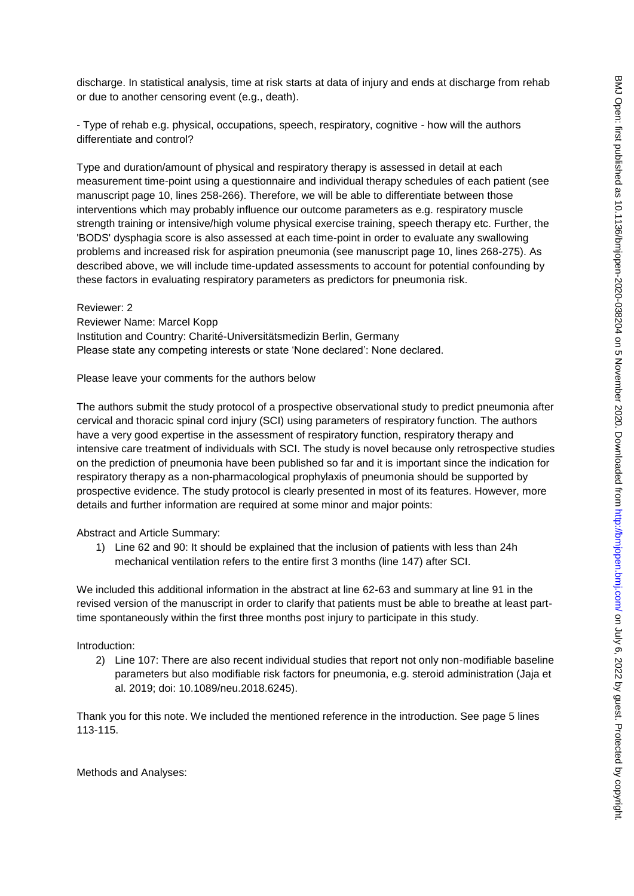discharge. In statistical analysis, time at risk starts at data of injury and ends at discharge from rehab or due to another censoring event (e.g., death).

- Type of rehab e.g. physical, occupations, speech, respiratory, cognitive - how will the authors differentiate and control?

Type and duration/amount of physical and respiratory therapy is assessed in detail at each measurement time-point using a questionnaire and individual therapy schedules of each patient (see manuscript page 10, lines 258-266). Therefore, we will be able to differentiate between those interventions which may probably influence our outcome parameters as e.g. respiratory muscle strength training or intensive/high volume physical exercise training, speech therapy etc. Further, the 'BODS' dysphagia score is also assessed at each time-point in order to evaluate any swallowing problems and increased risk for aspiration pneumonia (see manuscript page 10, lines 268-275). As described above, we will include time-updated assessments to account for potential confounding by these factors in evaluating respiratory parameters as predictors for pneumonia risk.

Reviewer: 2 Reviewer Name: Marcel Kopp Institution and Country: Charité-Universitätsmedizin Berlin, Germany Please state any competing interests or state 'None declared': None declared.

Please leave your comments for the authors below

The authors submit the study protocol of a prospective observational study to predict pneumonia after cervical and thoracic spinal cord injury (SCI) using parameters of respiratory function. The authors have a very good expertise in the assessment of respiratory function, respiratory therapy and intensive care treatment of individuals with SCI. The study is novel because only retrospective studies on the prediction of pneumonia have been published so far and it is important since the indication for respiratory therapy as a non-pharmacological prophylaxis of pneumonia should be supported by prospective evidence. The study protocol is clearly presented in most of its features. However, more details and further information are required at some minor and major points:

Abstract and Article Summary:

1) Line 62 and 90: It should be explained that the inclusion of patients with less than 24h mechanical ventilation refers to the entire first 3 months (line 147) after SCI.

We included this additional information in the abstract at line 62-63 and summary at line 91 in the revised version of the manuscript in order to clarify that patients must be able to breathe at least parttime spontaneously within the first three months post injury to participate in this study.

### Introduction:

2) Line 107: There are also recent individual studies that report not only non-modifiable baseline parameters but also modifiable risk factors for pneumonia, e.g. steroid administration (Jaja et al. 2019; doi: 10.1089/neu.2018.6245).

Thank you for this note. We included the mentioned reference in the introduction. See page 5 lines 113-115.

Methods and Analyses: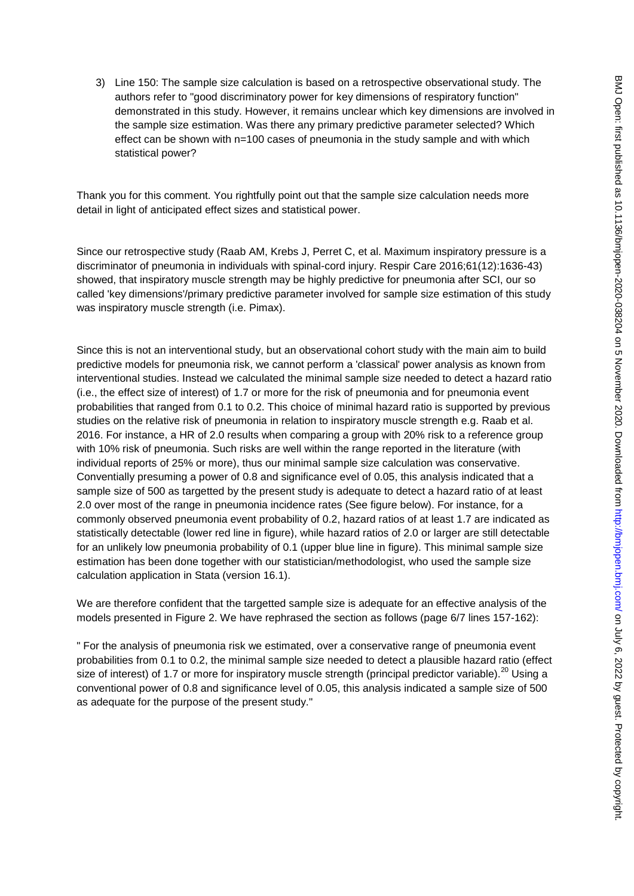3) Line 150: The sample size calculation is based on a retrospective observational study. The authors refer to "good discriminatory power for key dimensions of respiratory function" demonstrated in this study. However, it remains unclear which key dimensions are involved in the sample size estimation. Was there any primary predictive parameter selected? Which effect can be shown with n=100 cases of pneumonia in the study sample and with which statistical power?

Thank you for this comment. You rightfully point out that the sample size calculation needs more detail in light of anticipated effect sizes and statistical power.

Since our retrospective study (Raab AM, Krebs J, Perret C, et al. Maximum inspiratory pressure is a discriminator of pneumonia in individuals with spinal-cord injury. Respir Care 2016;61(12):1636-43) showed, that inspiratory muscle strength may be highly predictive for pneumonia after SCI, our so called 'key dimensions'/primary predictive parameter involved for sample size estimation of this study was inspiratory muscle strength (i.e. Pimax).

Since this is not an interventional study, but an observational cohort study with the main aim to build predictive models for pneumonia risk, we cannot perform a 'classical' power analysis as known from interventional studies. Instead we calculated the minimal sample size needed to detect a hazard ratio (i.e., the effect size of interest) of 1.7 or more for the risk of pneumonia and for pneumonia event probabilities that ranged from 0.1 to 0.2. This choice of minimal hazard ratio is supported by previous studies on the relative risk of pneumonia in relation to inspiratory muscle strength e.g. Raab et al. 2016. For instance, a HR of 2.0 results when comparing a group with 20% risk to a reference group with 10% risk of pneumonia. Such risks are well within the range reported in the literature (with individual reports of 25% or more), thus our minimal sample size calculation was conservative. Conventially presuming a power of 0.8 and significance evel of 0.05, this analysis indicated that a sample size of 500 as targetted by the present study is adequate to detect a hazard ratio of at least 2.0 over most of the range in pneumonia incidence rates (See figure below). For instance, for a commonly observed pneumonia event probability of 0.2, hazard ratios of at least 1.7 are indicated as statistically detectable (lower red line in figure), while hazard ratios of 2.0 or larger are still detectable for an unlikely low pneumonia probability of 0.1 (upper blue line in figure). This minimal sample size estimation has been done together with our statistician/methodologist, who used the sample size calculation application in Stata (version 16.1).

We are therefore confident that the targetted sample size is adequate for an effective analysis of the models presented in Figure 2. We have rephrased the section as follows (page 6/7 lines 157-162):

" For the analysis of pneumonia risk we estimated, over a conservative range of pneumonia event probabilities from 0.1 to 0.2, the minimal sample size needed to detect a plausible hazard ratio (effect size of interest) of 1.7 or more for inspiratory muscle strength (principal predictor variable).<sup>20</sup> Using a conventional power of 0.8 and significance level of 0.05, this analysis indicated a sample size of 500 as adequate for the purpose of the present study."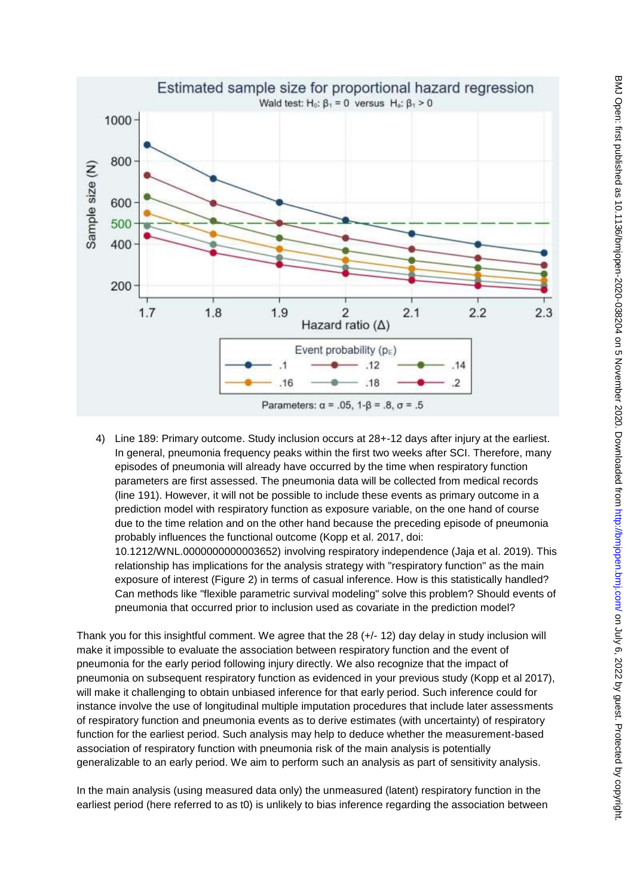

4) Line 189: Primary outcome. Study inclusion occurs at 28+-12 days after injury at the earliest. In general, pneumonia frequency peaks within the first two weeks after SCI. Therefore, many episodes of pneumonia will already have occurred by the time when respiratory function parameters are first assessed. The pneumonia data will be collected from medical records (line 191). However, it will not be possible to include these events as primary outcome in a prediction model with respiratory function as exposure variable, on the one hand of course due to the time relation and on the other hand because the preceding episode of pneumonia probably influences the functional outcome (Kopp et al. 2017, doi: 10.1212/WNL.0000000000003652) involving respiratory independence (Jaja et al. 2019). This relationship has implications for the analysis strategy with "respiratory function" as the main exposure of interest (Figure 2) in terms of casual inference. How is this statistically handled? Can methods like "flexible parametric survival modeling" solve this problem? Should events of pneumonia that occurred prior to inclusion used as covariate in the prediction model?

Thank you for this insightful comment. We agree that the 28 (+/- 12) day delay in study inclusion will make it impossible to evaluate the association between respiratory function and the event of pneumonia for the early period following injury directly. We also recognize that the impact of pneumonia on subsequent respiratory function as evidenced in your previous study (Kopp et al 2017), will make it challenging to obtain unbiased inference for that early period. Such inference could for instance involve the use of longitudinal multiple imputation procedures that include later assessments of respiratory function and pneumonia events as to derive estimates (with uncertainty) of respiratory function for the earliest period. Such analysis may help to deduce whether the measurement-based association of respiratory function with pneumonia risk of the main analysis is potentially generalizable to an early period. We aim to perform such an analysis as part of sensitivity analysis.

In the main analysis (using measured data only) the unmeasured (latent) respiratory function in the earliest period (here referred to as t0) is unlikely to bias inference regarding the association between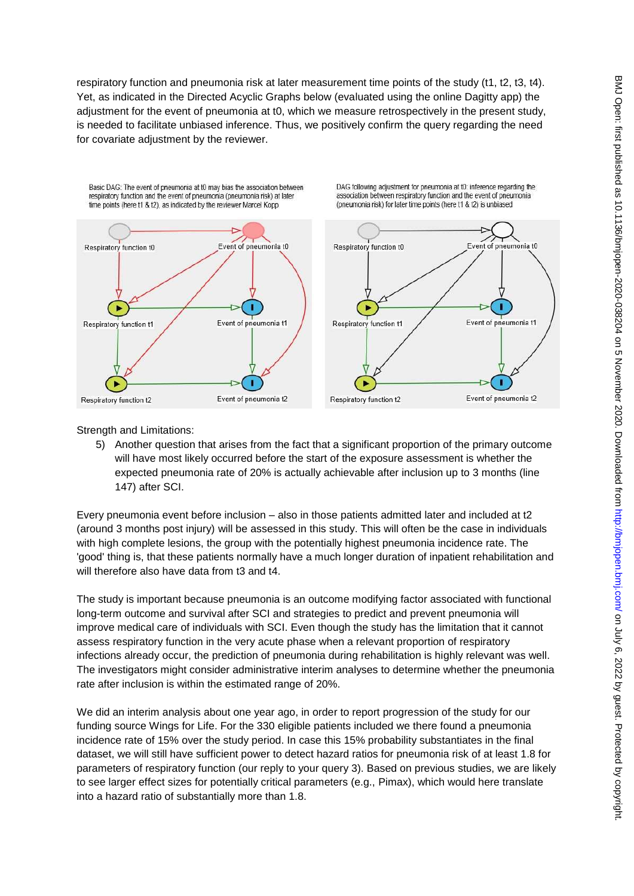respiratory function and pneumonia risk at later measurement time points of the study (t1, t2, t3, t4). Yet, as indicated in the Directed Acyclic Graphs below (evaluated using the online Dagitty app) the adjustment for the event of pneumonia at t0, which we measure retrospectively in the present study, is needed to facilitate unbiased inference. Thus, we positively confirm the query regarding the need for covariate adjustment by the reviewer.



Strength and Limitations:

5) Another question that arises from the fact that a significant proportion of the primary outcome will have most likely occurred before the start of the exposure assessment is whether the expected pneumonia rate of 20% is actually achievable after inclusion up to 3 months (line 147) after SCI.

Every pneumonia event before inclusion – also in those patients admitted later and included at t2 (around 3 months post injury) will be assessed in this study. This will often be the case in individuals with high complete lesions, the group with the potentially highest pneumonia incidence rate. The 'good' thing is, that these patients normally have a much longer duration of inpatient rehabilitation and will therefore also have data from t3 and t4.

The study is important because pneumonia is an outcome modifying factor associated with functional long-term outcome and survival after SCI and strategies to predict and prevent pneumonia will improve medical care of individuals with SCI. Even though the study has the limitation that it cannot assess respiratory function in the very acute phase when a relevant proportion of respiratory infections already occur, the prediction of pneumonia during rehabilitation is highly relevant was well. The investigators might consider administrative interim analyses to determine whether the pneumonia rate after inclusion is within the estimated range of 20%.

We did an interim analysis about one year ago, in order to report progression of the study for our funding source Wings for Life. For the 330 eligible patients included we there found a pneumonia incidence rate of 15% over the study period. In case this 15% probability substantiates in the final dataset, we will still have sufficient power to detect hazard ratios for pneumonia risk of at least 1.8 for parameters of respiratory function (our reply to your query 3). Based on previous studies, we are likely to see larger effect sizes for potentially critical parameters (e.g., Pimax), which would here translate into a hazard ratio of substantially more than 1.8.